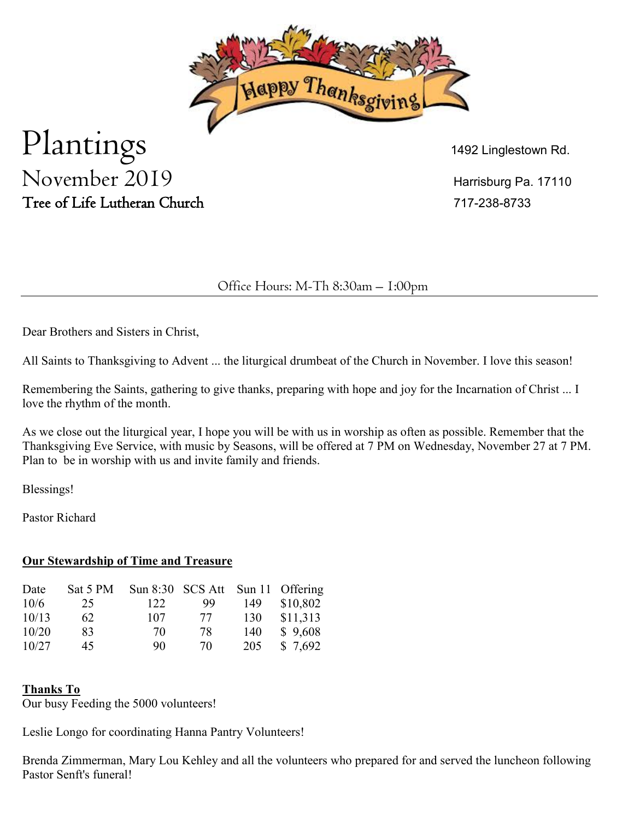

# Plantings  $\sum_{1492 \text{ Linglestown Rd.}}$ November 2019 Harrisburg Pa. 17110 Tree of Life Lutheran Church 717-238-8733

# Office Hours: M-Th 8:30am – 1:00pm

Dear Brothers and Sisters in Christ,

All Saints to Thanksgiving to Advent ... the liturgical drumbeat of the Church in November. I love this season!

Remembering the Saints, gathering to give thanks, preparing with hope and joy for the Incarnation of Christ ... I love the rhythm of the month.

As we close out the liturgical year, I hope you will be with us in worship as often as possible. Remember that the Thanksgiving Eve Service, with music by Seasons, will be offered at 7 PM on Wednesday, November 27 at 7 PM. Plan to be in worship with us and invite family and friends.

Blessings!

Pastor Richard

## **Our Stewardship of Time and Treasure**

| Date  | Sat 5 PM |     | Sun $8:30$ SCS Att |     | Sun 11 Offering |
|-------|----------|-----|--------------------|-----|-----------------|
| 10/6  | 25       | 122 | 99                 | 149 | \$10,802        |
| 10/13 | 62       | 107 | 77                 | 130 | \$11,313        |
| 10/20 | 83       | 70  | 78                 | 140 | \$9,608         |
| 10/27 | 45       | 90  | 70                 | 205 | \$7,692         |

## **Thanks To**

Our busy Feeding the 5000 volunteers!

Leslie Longo for coordinating Hanna Pantry Volunteers!

Brenda Zimmerman, Mary Lou Kehley and all the volunteers who prepared for and served the luncheon following Pastor Senft's funeral!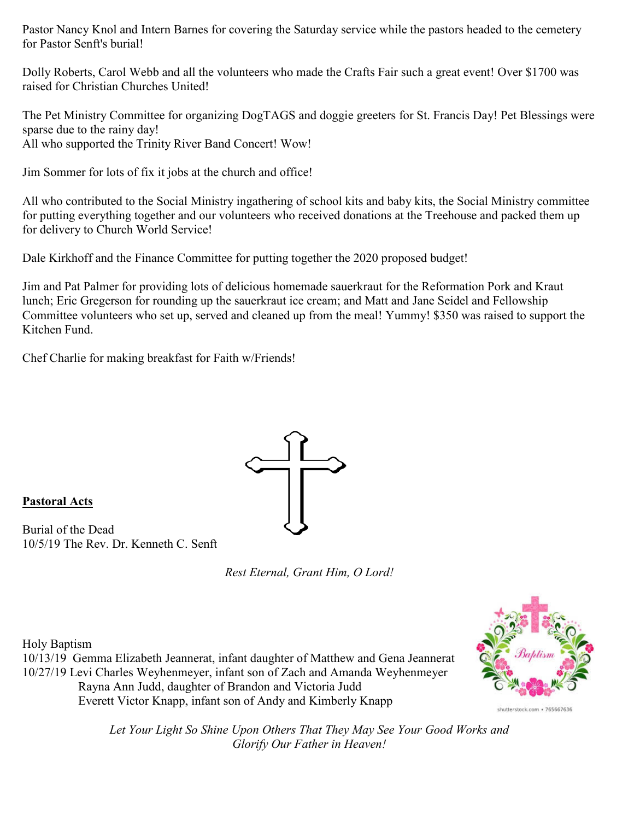Pastor Nancy Knol and Intern Barnes for covering the Saturday service while the pastors headed to the cemetery for Pastor Senft's burial!

Dolly Roberts, Carol Webb and all the volunteers who made the Crafts Fair such a great event! Over \$1700 was raised for Christian Churches United!

The Pet Ministry Committee for organizing DogTAGS and doggie greeters for St. Francis Day! Pet Blessings were sparse due to the rainy day! All who supported the Trinity River Band Concert! Wow!

Jim Sommer for lots of fix it jobs at the church and office!

All who contributed to the Social Ministry ingathering of school kits and baby kits, the Social Ministry committee for putting everything together and our volunteers who received donations at the Treehouse and packed them up for delivery to Church World Service!

Dale Kirkhoff and the Finance Committee for putting together the 2020 proposed budget!

Jim and Pat Palmer for providing lots of delicious homemade sauerkraut for the Reformation Pork and Kraut lunch; Eric Gregerson for rounding up the sauerkraut ice cream; and Matt and Jane Seidel and Fellowship Committee volunteers who set up, served and cleaned up from the meal! Yummy! \$350 was raised to support the Kitchen Fund.

Chef Charlie for making breakfast for Faith w/Friends!



#### **Pastoral Acts**

Burial of the Dead 10/5/19 The Rev. Dr. Kenneth C. Senft

*Rest Eternal, Grant Him, O Lord!*

Holy Baptism

10/13/19 Gemma Elizabeth Jeannerat, infant daughter of Matthew and Gena Jeannerat 10/27/19 Levi Charles Weyhenmeyer, infant son of Zach and Amanda Weyhenmeyer Rayna Ann Judd, daughter of Brandon and Victoria Judd Everett Victor Knapp, infant son of Andy and Kimberly Knapp



shutterstock.com · 765667636

*Let Your Light So Shine Upon Others That They May See Your Good Works and Glorify Our Father in Heaven!*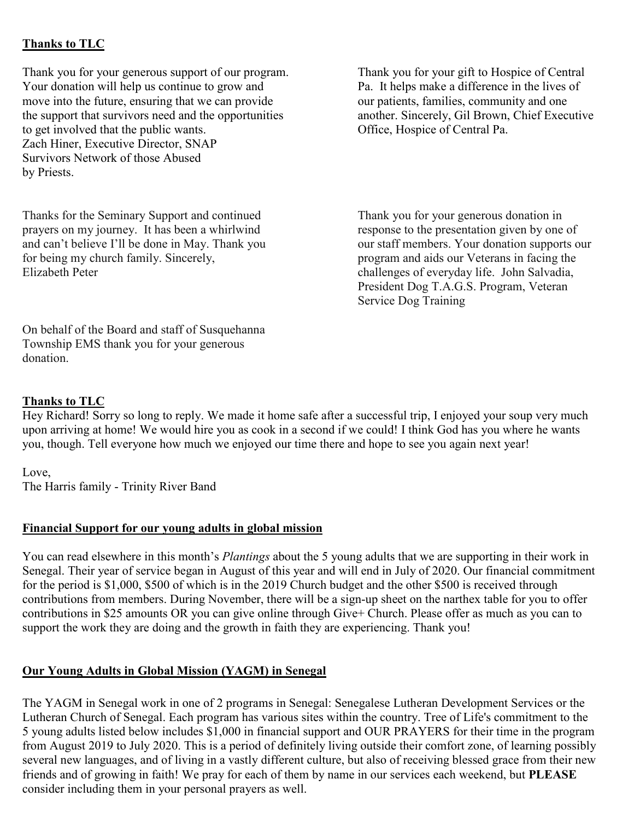## **Thanks to TLC**

Thank you for your generous support of our program.<br>
Thank you for your gift to Hospice of Central<br>
Your donation will help us continue to grow and<br>
Pa. It helps make a difference in the lives of Your donation will help us continue to grow and move into the future, ensuring that we can provide our patients, families, community and one the support that survivors need and the opportunities another. Sincerely, Gil Brown, Chief Executive to get involved that the public wants. Office, Hospice of Central Pa. Zach Hiner, Executive Director, SNAP Survivors Network of those Abused by Priests.

Thanks for the Seminary Support and continued<br>
prayers on my journey. It has been a whirlwind<br>
Thank you for your generous donation in<br>
response to the presentation given by one of prayers on my journey. It has been a whirlwind response to the presentation given by one of and can't believe I'll be done in May. Thank you our staff members. Your donation supports our and can't believe I'll be done in May. Thank you for being my church family. Sincerely, program and aids our Veterans in facing the Elizabeth Peter challenges of everyday life. John Salvadia,

President Dog T.A.G.S. Program, Veteran Service Dog Training

On behalf of the Board and staff of Susquehanna Township EMS thank you for your generous donation.

# **Thanks to TLC**

Hey Richard! Sorry so long to reply. We made it home safe after a successful trip, I enjoyed your soup very much upon arriving at home! We would hire you as cook in a second if we could! I think God has you where he wants you, though. Tell everyone how much we enjoyed our time there and hope to see you again next year!

Love, The Harris family - Trinity River Band

## **Financial Support for our young adults in global mission**

You can read elsewhere in this month's *Plantings* about the 5 young adults that we are supporting in their work in Senegal. Their year of service began in August of this year and will end in July of 2020. Our financial commitment for the period is \$1,000, \$500 of which is in the 2019 Church budget and the other \$500 is received through contributions from members. During November, there will be a sign-up sheet on the narthex table for you to offer contributions in \$25 amounts OR you can give online through Give+ Church. Please offer as much as you can to support the work they are doing and the growth in faith they are experiencing. Thank you!

## **Our Young Adults in Global Mission (YAGM) in Senegal**

The YAGM in Senegal work in one of 2 programs in Senegal: Senegalese Lutheran Development Services or the Lutheran Church of Senegal. Each program has various sites within the country. Tree of Life's commitment to the 5 young adults listed below includes \$1,000 in financial support and OUR PRAYERS for their time in the program from August 2019 to July 2020. This is a period of definitely living outside their comfort zone, of learning possibly several new languages, and of living in a vastly different culture, but also of receiving blessed grace from their new friends and of growing in faith! We pray for each of them by name in our services each weekend, but **PLEASE** consider including them in your personal prayers as well.